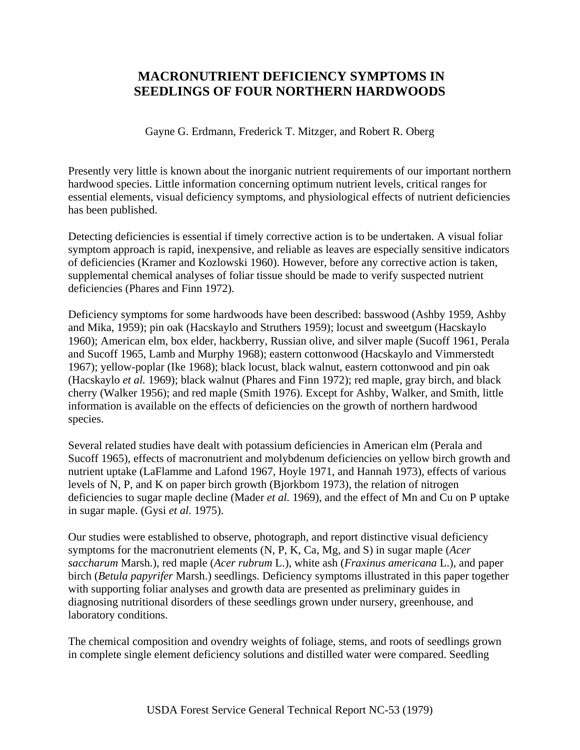# **MACRONUTRIENT DEFICIENCY SYMPTOMS IN SEEDLINGS OF FOUR NORTHERN HARDWOODS**

Gayne G. Erdmann, Frederick T. Mitzger, and Robert R. Oberg

Presently very little is known about the inorganic nutrient requirements of our important northern hardwood species. Little information concerning optimum nutrient levels, critical ranges for essential elements, visual deficiency symptoms, and physiological effects of nutrient deficiencies has been published.

Detecting deficiencies is essential if timely corrective action is to be undertaken. A visual foliar symptom approach is rapid, inexpensive, and reliable as leaves are especially sensitive indicators of deficiencies (Kramer and Kozlowski 1960). However, before any corrective action is taken, supplemental chemical analyses of foliar tissue should be made to verify suspected nutrient deficiencies (Phares and Finn 1972).

Deficiency symptoms for some hardwoods have been described: basswood (Ashby 1959, Ashby and Mika, 1959); pin oak (Hacskaylo and Struthers 1959); locust and sweetgum (Hacskaylo 1960); American elm, box elder, hackberry, Russian olive, and silver maple (Sucoff 1961, Perala and Sucoff 1965, Lamb and Murphy 1968); eastern cottonwood (Hacskaylo and Vimmerstedt 1967); yellow-poplar (Ike 1968); black locust, black walnut, eastern cottonwood and pin oak (Hacskaylo *et al.* 1969); black walnut (Phares and Finn 1972); red maple, gray birch, and black cherry (Walker 1956); and red maple (Smith 1976). Except for Ashby, Walker, and Smith, little information is available on the effects of deficiencies on the growth of northern hardwood species.

Several related studies have dealt with potassium deficiencies in American elm (Perala and Sucoff 1965), effects of macronutrient and molybdenum deficiencies on yellow birch growth and nutrient uptake (LaFlamme and Lafond 1967, Hoyle 1971, and Hannah 1973), effects of various levels of N, P, and K on paper birch growth (Bjorkbom 1973), the relation of nitrogen deficiencies to sugar maple decline (Mader *et al.* 1969), and the effect of Mn and Cu on P uptake in sugar maple. (Gysi *et al.* 1975).

Our studies were established to observe, photograph, and report distinctive visual deficiency symptoms for the macronutrient elements (N, P, K, Ca, Mg, and S) in sugar maple (*Acer saccharum* Marsh.), red maple (*Acer rubrum* L.), white ash (*Fraxinus americana* L.), and paper birch (*Betula papyrifer* Marsh.) seedlings. Deficiency symptoms illustrated in this paper together with supporting foliar analyses and growth data are presented as preliminary guides in diagnosing nutritional disorders of these seedlings grown under nursery, greenhouse, and laboratory conditions.

The chemical composition and ovendry weights of foliage, stems, and roots of seedlings grown in complete single element deficiency solutions and distilled water were compared. Seedling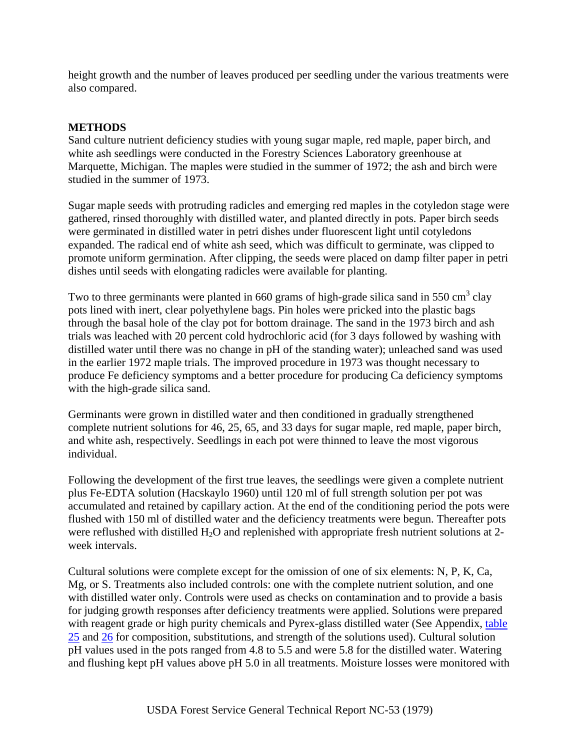height growth and the number of leaves produced per seedling under the various treatments were also compared.

## **METHODS**

Sand culture nutrient deficiency studies with young sugar maple, red maple, paper birch, and white ash seedlings were conducted in the Forestry Sciences Laboratory greenhouse at Marquette, Michigan. The maples were studied in the summer of 1972; the ash and birch were studied in the summer of 1973.

Sugar maple seeds with protruding radicles and emerging red maples in the cotyledon stage were gathered, rinsed thoroughly with distilled water, and planted directly in pots. Paper birch seeds were germinated in distilled water in petri dishes under fluorescent light until cotyledons expanded. The radical end of white ash seed, which was difficult to germinate, was clipped to promote uniform germination. After clipping, the seeds were placed on damp filter paper in petri dishes until seeds with elongating radicles were available for planting.

Two to three germinants were planted in 660 grams of high-grade silica sand in 550 cm<sup>3</sup> clay pots lined with inert, clear polyethylene bags. Pin holes were pricked into the plastic bags through the basal hole of the clay pot for bottom drainage. The sand in the 1973 birch and ash trials was leached with 20 percent cold hydrochloric acid (for 3 days followed by washing with distilled water until there was no change in pH of the standing water); unleached sand was used in the earlier 1972 maple trials. The improved procedure in 1973 was thought necessary to produce Fe deficiency symptoms and a better procedure for producing Ca deficiency symptoms with the high-grade silica sand.

Germinants were grown in distilled water and then conditioned in gradually strengthened complete nutrient solutions for 46, 25, 65, and 33 days for sugar maple, red maple, paper birch, and white ash, respectively. Seedlings in each pot were thinned to leave the most vigorous individual.

Following the development of the first true leaves, the seedlings were given a complete nutrient plus Fe-EDTA solution (Hacskaylo 1960) until 120 ml of full strength solution per pot was accumulated and retained by capillary action. At the end of the conditioning period the pots were flushed with 150 ml of distilled water and the deficiency treatments were begun. Thereafter pots were reflushed with distilled  $H_2O$  and replenished with appropriate fresh nutrient solutions at 2week intervals.

Cultural solutions were complete except for the omission of one of six elements: N, P, K, Ca, Mg, or S. Treatments also included controls: one with the complete nutrient solution, and one with distilled water only. Controls were used as checks on contamination and to provide a basis for judging growth responses after deficiency treatments were applied. Solutions were prepared with reagent grade or high purity chemicals and Pyrex-glass distilled water (See Appendix, table [25](http://www.sfws.auburn.edu/sfnmc/pubs/manuscri/nutrient/t25.jpg) and [26](http://www.sfws.auburn.edu/sfnmc/pubs/manuscri/nutrient/t26.jpg) for composition, substitutions, and strength of the solutions used). Cultural solution pH values used in the pots ranged from 4.8 to 5.5 and were 5.8 for the distilled water. Watering and flushing kept pH values above pH 5.0 in all treatments. Moisture losses were monitored with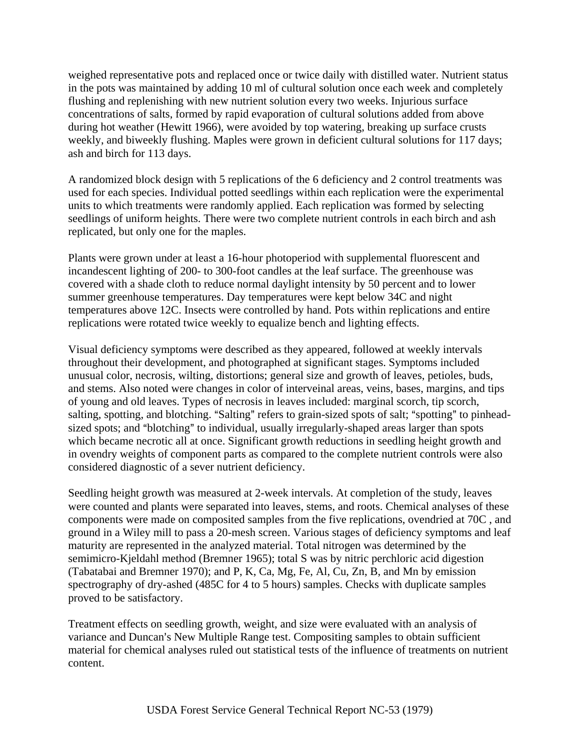weighed representative pots and replaced once or twice daily with distilled water. Nutrient status in the pots was maintained by adding 10 ml of cultural solution once each week and completely flushing and replenishing with new nutrient solution every two weeks. Injurious surface concentrations of salts, formed by rapid evaporation of cultural solutions added from above during hot weather (Hewitt 1966), were avoided by top watering, breaking up surface crusts weekly, and biweekly flushing. Maples were grown in deficient cultural solutions for 117 days; ash and birch for 113 days.

A randomized block design with 5 replications of the 6 deficiency and 2 control treatments was used for each species. Individual potted seedlings within each replication were the experimental units to which treatments were randomly applied. Each replication was formed by selecting seedlings of uniform heights. There were two complete nutrient controls in each birch and ash replicated, but only one for the maples.

Plants were grown under at least a 16-hour photoperiod with supplemental fluorescent and incandescent lighting of 200- to 300-foot candles at the leaf surface. The greenhouse was covered with a shade cloth to reduce normal daylight intensity by 50 percent and to lower summer greenhouse temperatures. Day temperatures were kept below 34C and night temperatures above 12C. Insects were controlled by hand. Pots within replications and entire replications were rotated twice weekly to equalize bench and lighting effects.

Visual deficiency symptoms were described as they appeared, followed at weekly intervals throughout their development, and photographed at significant stages. Symptoms included unusual color, necrosis, wilting, distortions; general size and growth of leaves, petioles, buds, and stems. Also noted were changes in color of interveinal areas, veins, bases, margins, and tips of young and old leaves. Types of necrosis in leaves included: marginal scorch, tip scorch, salting, spotting, and blotching. "Salting" refers to grain-sized spots of salt; "spotting" to pinheadsized spots; and "blotching" to individual, usually irregularly-shaped areas larger than spots which became necrotic all at once. Significant growth reductions in seedling height growth and in ovendry weights of component parts as compared to the complete nutrient controls were also considered diagnostic of a sever nutrient deficiency.

Seedling height growth was measured at 2-week intervals. At completion of the study, leaves were counted and plants were separated into leaves, stems, and roots. Chemical analyses of these components were made on composited samples from the five replications, ovendried at 70C , and ground in a Wiley mill to pass a 20-mesh screen. Various stages of deficiency symptoms and leaf maturity are represented in the analyzed material. Total nitrogen was determined by the semimicro-Kjeldahl method (Bremner 1965); total S was by nitric perchloric acid digestion (Tabatabai and Bremner 1970); and P, K, Ca, Mg, Fe, Al, Cu, Zn, B, and Mn by emission spectrography of dry-ashed (485C for 4 to 5 hours) samples. Checks with duplicate samples proved to be satisfactory.

Treatment effects on seedling growth, weight, and size were evaluated with an analysis of variance and Duncan's New Multiple Range test. Compositing samples to obtain sufficient material for chemical analyses ruled out statistical tests of the influence of treatments on nutrient content.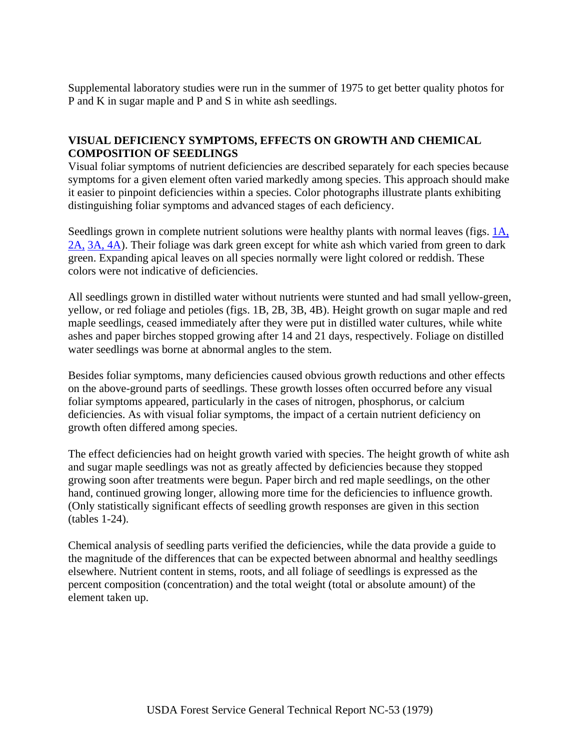Supplemental laboratory studies were run in the summer of 1975 to get better quality photos for P and K in sugar maple and P and S in white ash seedlings.

## **VISUAL DEFICIENCY SYMPTOMS, EFFECTS ON GROWTH AND CHEMICAL COMPOSITION OF SEEDLINGS**

Visual foliar symptoms of nutrient deficiencies are described separately for each species because symptoms for a given element often varied markedly among species. This approach should make it easier to pinpoint deficiencies within a species. Color photographs illustrate plants exhibiting distinguishing foliar symptoms and advanced stages of each deficiency.

Seedlings grown in complete nutrient solutions were healthy plants with normal leaves (figs. [1A,](http://www.sfws.auburn.edu/sfnmc/pubs/manuscri/nutrient/1a-2b.jpg)  [2A,](http://www.sfws.auburn.edu/sfnmc/pubs/manuscri/nutrient/1a-2b.jpg) [3A, 4A\)](http://www.sfws.auburn.edu/sfnmc/pubs/manuscri/nutrient/3a-4b.jpg). Their foliage was dark green except for white ash which varied from green to dark green. Expanding apical leaves on all species normally were light colored or reddish. These colors were not indicative of deficiencies.

All seedlings grown in distilled water without nutrients were stunted and had small yellow-green, yellow, or red foliage and petioles (figs. 1B, 2B, 3B, 4B). Height growth on sugar maple and red maple seedlings, ceased immediately after they were put in distilled water cultures, while white ashes and paper birches stopped growing after 14 and 21 days, respectively. Foliage on distilled water seedlings was borne at abnormal angles to the stem.

Besides foliar symptoms, many deficiencies caused obvious growth reductions and other effects on the above-ground parts of seedlings. These growth losses often occurred before any visual foliar symptoms appeared, particularly in the cases of nitrogen, phosphorus, or calcium deficiencies. As with visual foliar symptoms, the impact of a certain nutrient deficiency on growth often differed among species.

The effect deficiencies had on height growth varied with species. The height growth of white ash and sugar maple seedlings was not as greatly affected by deficiencies because they stopped growing soon after treatments were begun. Paper birch and red maple seedlings, on the other hand, continued growing longer, allowing more time for the deficiencies to influence growth. (Only statistically significant effects of seedling growth responses are given in this section (tables 1-24).

Chemical analysis of seedling parts verified the deficiencies, while the data provide a guide to the magnitude of the differences that can be expected between abnormal and healthy seedlings elsewhere. Nutrient content in stems, roots, and all foliage of seedlings is expressed as the percent composition (concentration) and the total weight (total or absolute amount) of the element taken up.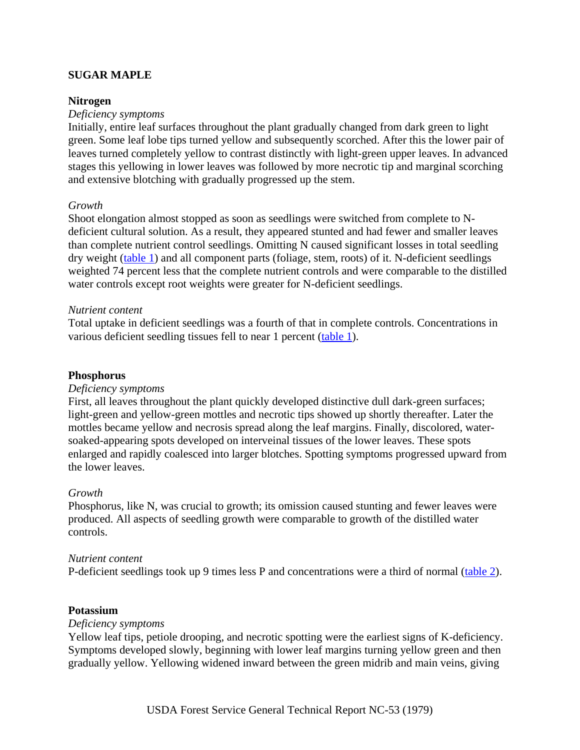### **SUGAR MAPLE**

#### **Nitrogen**

#### *Deficiency symptoms*

Initially, entire leaf surfaces throughout the plant gradually changed from dark green to light green. Some leaf lobe tips turned yellow and subsequently scorched. After this the lower pair of leaves turned completely yellow to contrast distinctly with light-green upper leaves. In advanced stages this yellowing in lower leaves was followed by more necrotic tip and marginal scorching and extensive blotching with gradually progressed up the stem.

#### *Growth*

Shoot elongation almost stopped as soon as seedlings were switched from complete to Ndeficient cultural solution. As a result, they appeared stunted and had fewer and smaller leaves than complete nutrient control seedlings. Omitting N caused significant losses in total seedling dry weight ([table 1](http://www.sfws.auburn.edu/sfnmc/pubs/manuscri/nutrient/t1.jpg)) and all component parts (foliage, stem, roots) of it. N-deficient seedlings weighted 74 percent less that the complete nutrient controls and were comparable to the distilled water controls except root weights were greater for N-deficient seedlings.

#### *Nutrient content*

Total uptake in deficient seedlings was a fourth of that in complete controls. Concentrations in various deficient seedling tissues fell to near 1 percent ([table 1\)](http://www.sfws.auburn.edu/sfnmc/pubs/manuscri/nutrient/t1.jpg).

#### **Phosphorus**

#### *Deficiency symptoms*

First, all leaves throughout the plant quickly developed distinctive dull dark-green surfaces; light-green and yellow-green mottles and necrotic tips showed up shortly thereafter. Later the mottles became yellow and necrosis spread along the leaf margins. Finally, discolored, watersoaked-appearing spots developed on interveinal tissues of the lower leaves. These spots enlarged and rapidly coalesced into larger blotches. Spotting symptoms progressed upward from the lower leaves.

#### *Growth*

Phosphorus, like N, was crucial to growth; its omission caused stunting and fewer leaves were produced. All aspects of seedling growth were comparable to growth of the distilled water controls.

#### *Nutrient content*

P-deficient seedlings took up 9 times less P and concentrations were a third of normal ([table 2](http://www.sfws.auburn.edu/sfnmc/pubs/manuscri/nutrient/t2.jpg)).

#### **Potassium**

#### *Deficiency symptoms*

Yellow leaf tips, petiole drooping, and necrotic spotting were the earliest signs of K-deficiency. Symptoms developed slowly, beginning with lower leaf margins turning yellow green and then gradually yellow. Yellowing widened inward between the green midrib and main veins, giving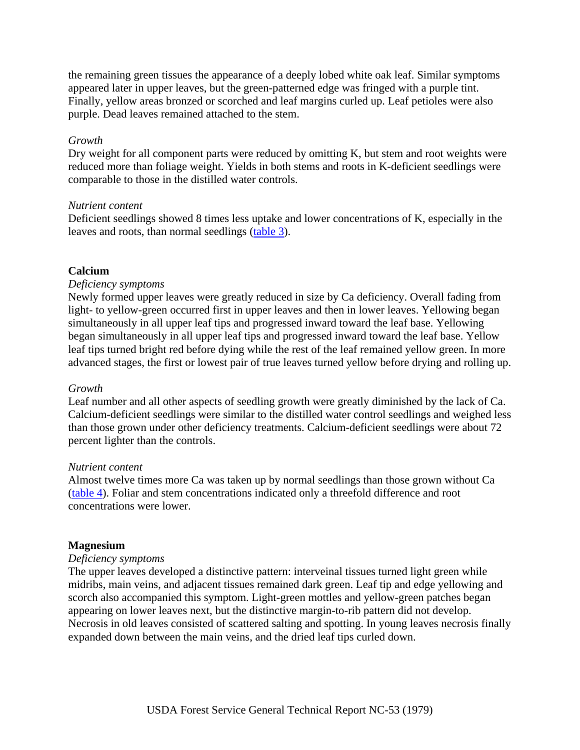the remaining green tissues the appearance of a deeply lobed white oak leaf. Similar symptoms appeared later in upper leaves, but the green-patterned edge was fringed with a purple tint. Finally, yellow areas bronzed or scorched and leaf margins curled up. Leaf petioles were also purple. Dead leaves remained attached to the stem.

### *Growth*

Dry weight for all component parts were reduced by omitting K, but stem and root weights were reduced more than foliage weight. Yields in both stems and roots in K-deficient seedlings were comparable to those in the distilled water controls.

### *Nutrient content*

Deficient seedlings showed 8 times less uptake and lower concentrations of K, especially in the leaves and roots, than normal seedlings ([table 3\)](http://www.sfws.auburn.edu/sfnmc/pubs/manuscri/nutrient/t3.jpg).

### **Calcium**

### *Deficiency symptoms*

Newly formed upper leaves were greatly reduced in size by Ca deficiency. Overall fading from light- to yellow-green occurred first in upper leaves and then in lower leaves. Yellowing began simultaneously in all upper leaf tips and progressed inward toward the leaf base. Yellowing began simultaneously in all upper leaf tips and progressed inward toward the leaf base. Yellow leaf tips turned bright red before dying while the rest of the leaf remained yellow green. In more advanced stages, the first or lowest pair of true leaves turned yellow before drying and rolling up.

#### *Growth*

Leaf number and all other aspects of seedling growth were greatly diminished by the lack of Ca. Calcium-deficient seedlings were similar to the distilled water control seedlings and weighed less than those grown under other deficiency treatments. Calcium-deficient seedlings were about 72 percent lighter than the controls.

#### *Nutrient content*

Almost twelve times more Ca was taken up by normal seedlings than those grown without Ca ([table 4](http://www.sfws.auburn.edu/sfnmc/pubs/manuscri/nutrient/t4.jpg)). Foliar and stem concentrations indicated only a threefold difference and root concentrations were lower.

#### **Magnesium**

#### *Deficiency symptoms*

The upper leaves developed a distinctive pattern: interveinal tissues turned light green while midribs, main veins, and adjacent tissues remained dark green. Leaf tip and edge yellowing and scorch also accompanied this symptom. Light-green mottles and yellow-green patches began appearing on lower leaves next, but the distinctive margin-to-rib pattern did not develop. Necrosis in old leaves consisted of scattered salting and spotting. In young leaves necrosis finally expanded down between the main veins, and the dried leaf tips curled down.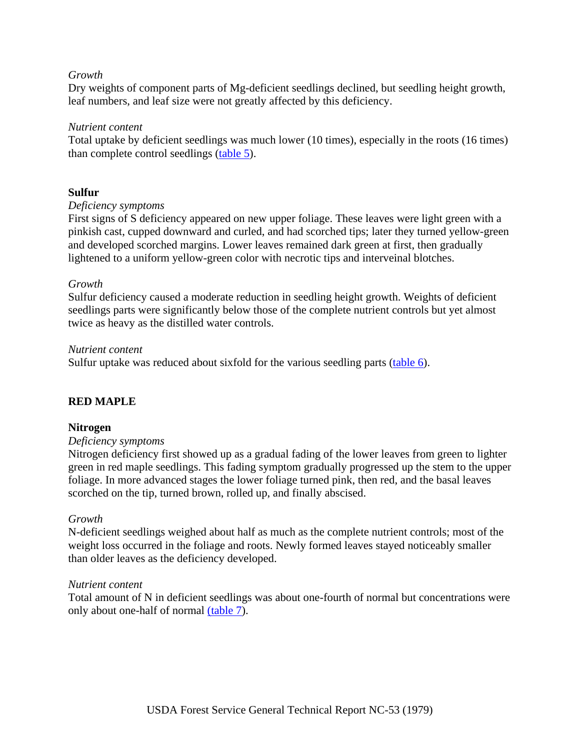### *Growth*

Dry weights of component parts of Mg-deficient seedlings declined, but seedling height growth, leaf numbers, and leaf size were not greatly affected by this deficiency.

### *Nutrient content*

Total uptake by deficient seedlings was much lower (10 times), especially in the roots (16 times) than complete control seedlings [\(table 5\)](http://www.sfws.auburn.edu/sfnmc/pubs/manuscri/nutrient/t5.jpg).

### **Sulfur**

### *Deficiency symptoms*

First signs of S deficiency appeared on new upper foliage. These leaves were light green with a pinkish cast, cupped downward and curled, and had scorched tips; later they turned yellow-green and developed scorched margins. Lower leaves remained dark green at first, then gradually lightened to a uniform yellow-green color with necrotic tips and interveinal blotches.

### *Growth*

Sulfur deficiency caused a moderate reduction in seedling height growth. Weights of deficient seedlings parts were significantly below those of the complete nutrient controls but yet almost twice as heavy as the distilled water controls.

### *Nutrient content*

Sulfur uptake was reduced about sixfold for the various seedling parts  $(\text{table 6})$  $(\text{table 6})$  $(\text{table 6})$ .

### **RED MAPLE**

### **Nitrogen**

#### *Deficiency symptoms*

Nitrogen deficiency first showed up as a gradual fading of the lower leaves from green to lighter green in red maple seedlings. This fading symptom gradually progressed up the stem to the upper foliage. In more advanced stages the lower foliage turned pink, then red, and the basal leaves scorched on the tip, turned brown, rolled up, and finally abscised.

#### *Growth*

N-deficient seedlings weighed about half as much as the complete nutrient controls; most of the weight loss occurred in the foliage and roots. Newly formed leaves stayed noticeably smaller than older leaves as the deficiency developed.

#### *Nutrient content*

Total amount of N in deficient seedlings was about one-fourth of normal but concentrations were only about one-half of normal [\(table 7](http://www.sfws.auburn.edu/sfnmc/pubs/manuscri/nutrient/t7.jpg)).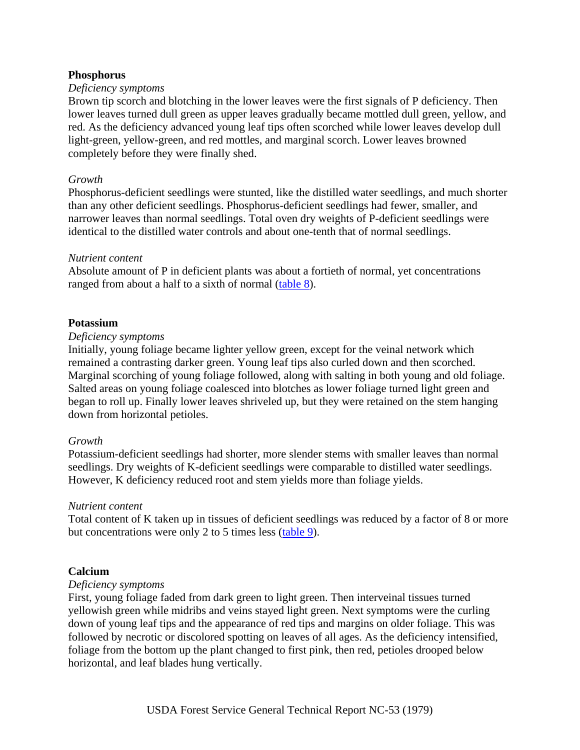### **Phosphorus**

### *Deficiency symptoms*

Brown tip scorch and blotching in the lower leaves were the first signals of P deficiency. Then lower leaves turned dull green as upper leaves gradually became mottled dull green, yellow, and red. As the deficiency advanced young leaf tips often scorched while lower leaves develop dull light-green, yellow-green, and red mottles, and marginal scorch. Lower leaves browned completely before they were finally shed.

#### *Growth*

Phosphorus-deficient seedlings were stunted, like the distilled water seedlings, and much shorter than any other deficient seedlings. Phosphorus-deficient seedlings had fewer, smaller, and narrower leaves than normal seedlings. Total oven dry weights of P-deficient seedlings were identical to the distilled water controls and about one-tenth that of normal seedlings.

### *Nutrient content*

Absolute amount of P in deficient plants was about a fortieth of normal, yet concentrations ranged from about a half to a sixth of normal ([table 8\)](http://www.sfws.auburn.edu/sfnmc/pubs/manuscri/nutrient/t8.jpg).

### **Potassium**

### *Deficiency symptoms*

Initially, young foliage became lighter yellow green, except for the veinal network which remained a contrasting darker green. Young leaf tips also curled down and then scorched. Marginal scorching of young foliage followed, along with salting in both young and old foliage. Salted areas on young foliage coalesced into blotches as lower foliage turned light green and began to roll up. Finally lower leaves shriveled up, but they were retained on the stem hanging down from horizontal petioles.

#### *Growth*

Potassium-deficient seedlings had shorter, more slender stems with smaller leaves than normal seedlings. Dry weights of K-deficient seedlings were comparable to distilled water seedlings. However, K deficiency reduced root and stem yields more than foliage yields.

### *Nutrient content*

Total content of K taken up in tissues of deficient seedlings was reduced by a factor of 8 or more but concentrations were only 2 to 5 times less [\(table 9\)](http://www.sfws.auburn.edu/sfnmc/pubs/manuscri/nutrient/t9.jpg).

### **Calcium**

### *Deficiency symptoms*

First, young foliage faded from dark green to light green. Then interveinal tissues turned yellowish green while midribs and veins stayed light green. Next symptoms were the curling down of young leaf tips and the appearance of red tips and margins on older foliage. This was followed by necrotic or discolored spotting on leaves of all ages. As the deficiency intensified, foliage from the bottom up the plant changed to first pink, then red, petioles drooped below horizontal, and leaf blades hung vertically.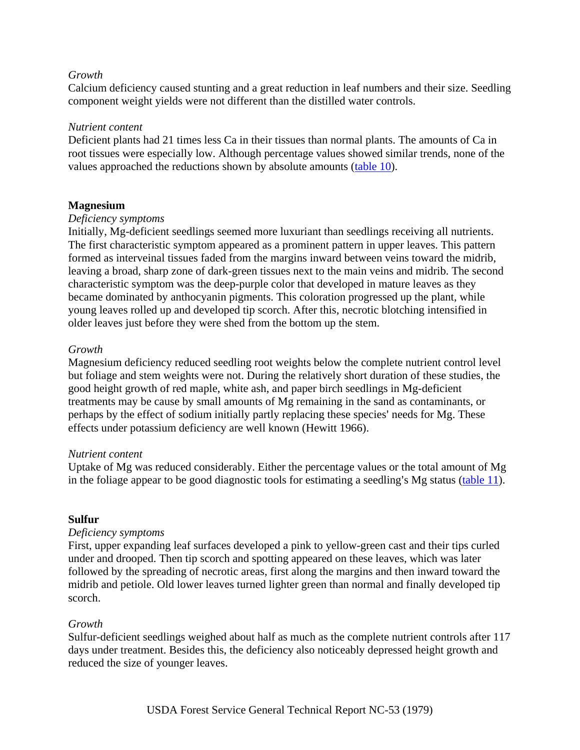### *Growth*

Calcium deficiency caused stunting and a great reduction in leaf numbers and their size. Seedling component weight yields were not different than the distilled water controls.

### *Nutrient content*

Deficient plants had 21 times less Ca in their tissues than normal plants. The amounts of Ca in root tissues were especially low. Although percentage values showed similar trends, none of the values approached the reductions shown by absolute amounts ([table 10\)](http://www.sfws.auburn.edu/sfnmc/pubs/manuscri/nutrient/t10.jpg).

### **Magnesium**

### *Deficiency symptoms*

Initially, Mg-deficient seedlings seemed more luxuriant than seedlings receiving all nutrients. The first characteristic symptom appeared as a prominent pattern in upper leaves. This pattern formed as interveinal tissues faded from the margins inward between veins toward the midrib, leaving a broad, sharp zone of dark-green tissues next to the main veins and midrib. The second characteristic symptom was the deep-purple color that developed in mature leaves as they became dominated by anthocyanin pigments. This coloration progressed up the plant, while young leaves rolled up and developed tip scorch. After this, necrotic blotching intensified in older leaves just before they were shed from the bottom up the stem.

### *Growth*

Magnesium deficiency reduced seedling root weights below the complete nutrient control level but foliage and stem weights were not. During the relatively short duration of these studies, the good height growth of red maple, white ash, and paper birch seedlings in Mg-deficient treatments may be cause by small amounts of Mg remaining in the sand as contaminants, or perhaps by the effect of sodium initially partly replacing these species' needs for Mg. These effects under potassium deficiency are well known (Hewitt 1966).

#### *Nutrient content*

Uptake of Mg was reduced considerably. Either the percentage values or the total amount of Mg in the foliage appear to be good diagnostic tools for estimating a seedling's Mg status [\(table 11\)](http://www.sfws.auburn.edu/sfnmc/pubs/manuscri/nutrient/t11.jpg).

#### **Sulfur**

#### *Deficiency symptoms*

First, upper expanding leaf surfaces developed a pink to yellow-green cast and their tips curled under and drooped. Then tip scorch and spotting appeared on these leaves, which was later followed by the spreading of necrotic areas, first along the margins and then inward toward the midrib and petiole. Old lower leaves turned lighter green than normal and finally developed tip scorch.

#### *Growth*

Sulfur-deficient seedlings weighed about half as much as the complete nutrient controls after 117 days under treatment. Besides this, the deficiency also noticeably depressed height growth and reduced the size of younger leaves.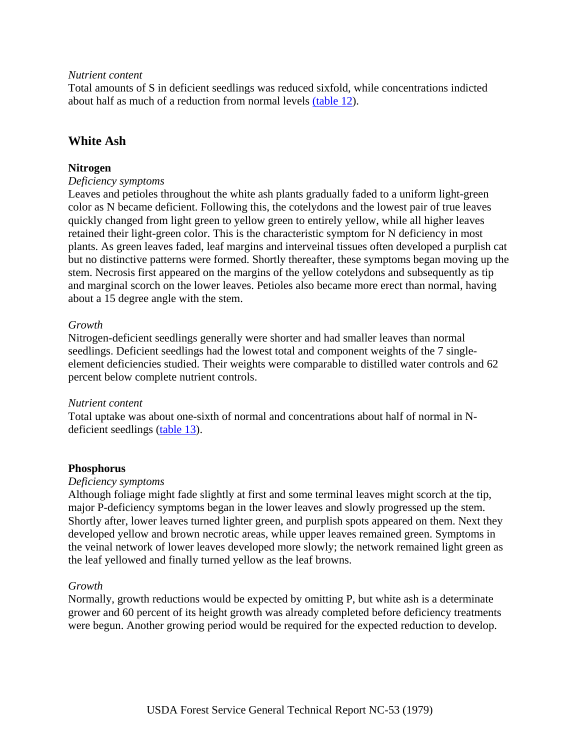### *Nutrient content*

Total amounts of S in deficient seedlings was reduced sixfold, while concentrations indicted about half as much of a reduction from normal levels [\(table 12](http://www.sfws.auburn.edu/sfnmc/pubs/manuscri/nutrient/t12.jpg)).

## **White Ash**

### **Nitrogen**

### *Deficiency symptoms*

Leaves and petioles throughout the white ash plants gradually faded to a uniform light-green color as N became deficient. Following this, the cotelydons and the lowest pair of true leaves quickly changed from light green to yellow green to entirely yellow, while all higher leaves retained their light-green color. This is the characteristic symptom for N deficiency in most plants. As green leaves faded, leaf margins and interveinal tissues often developed a purplish cat but no distinctive patterns were formed. Shortly thereafter, these symptoms began moving up the stem. Necrosis first appeared on the margins of the yellow cotelydons and subsequently as tip and marginal scorch on the lower leaves. Petioles also became more erect than normal, having about a 15 degree angle with the stem.

### *Growth*

Nitrogen-deficient seedlings generally were shorter and had smaller leaves than normal seedlings. Deficient seedlings had the lowest total and component weights of the 7 singleelement deficiencies studied. Their weights were comparable to distilled water controls and 62 percent below complete nutrient controls.

### *Nutrient content*

Total uptake was about one-sixth of normal and concentrations about half of normal in Ndeficient seedlings ([table 13\)](http://www.sfws.auburn.edu/sfnmc/pubs/manuscri/nutrient/t13.jpg).

### **Phosphorus**

#### *Deficiency symptoms*

Although foliage might fade slightly at first and some terminal leaves might scorch at the tip, major P-deficiency symptoms began in the lower leaves and slowly progressed up the stem. Shortly after, lower leaves turned lighter green, and purplish spots appeared on them. Next they developed yellow and brown necrotic areas, while upper leaves remained green. Symptoms in the veinal network of lower leaves developed more slowly; the network remained light green as the leaf yellowed and finally turned yellow as the leaf browns.

#### *Growth*

Normally, growth reductions would be expected by omitting P, but white ash is a determinate grower and 60 percent of its height growth was already completed before deficiency treatments were begun. Another growing period would be required for the expected reduction to develop.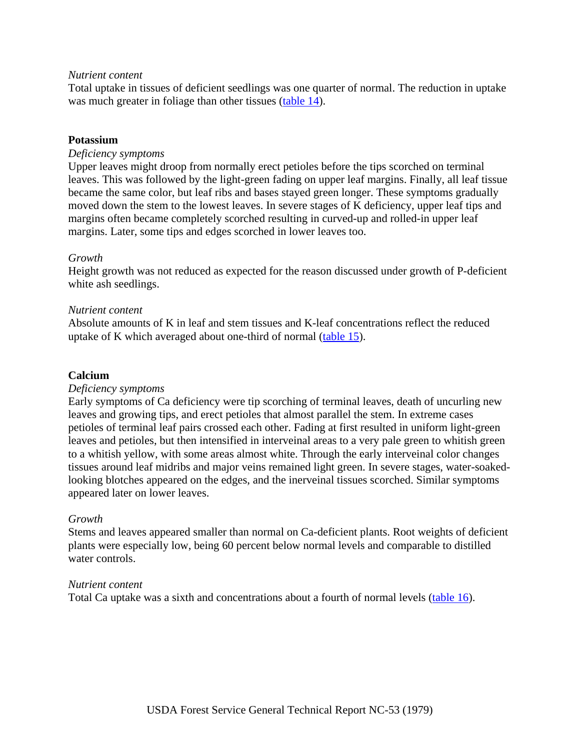### *Nutrient content*

Total uptake in tissues of deficient seedlings was one quarter of normal. The reduction in uptake was much greater in foliage than other tissues ([table 14\)](http://www.sfws.auburn.edu/sfnmc/pubs/manuscri/nutrient/t14.jpg).

### **Potassium**

### *Deficiency symptoms*

Upper leaves might droop from normally erect petioles before the tips scorched on terminal leaves. This was followed by the light-green fading on upper leaf margins. Finally, all leaf tissue became the same color, but leaf ribs and bases stayed green longer. These symptoms gradually moved down the stem to the lowest leaves. In severe stages of K deficiency, upper leaf tips and margins often became completely scorched resulting in curved-up and rolled-in upper leaf margins. Later, some tips and edges scorched in lower leaves too.

### *Growth*

Height growth was not reduced as expected for the reason discussed under growth of P-deficient white ash seedlings.

### *Nutrient content*

Absolute amounts of K in leaf and stem tissues and K-leaf concentrations reflect the reduced uptake of K which averaged about one-third of normal ([table 15](http://www.sfws.auburn.edu/sfnmc/pubs/manuscri/nutrient/t15.jpg)).

#### **Calcium**

#### *Deficiency symptoms*

Early symptoms of Ca deficiency were tip scorching of terminal leaves, death of uncurling new leaves and growing tips, and erect petioles that almost parallel the stem. In extreme cases petioles of terminal leaf pairs crossed each other. Fading at first resulted in uniform light-green leaves and petioles, but then intensified in interveinal areas to a very pale green to whitish green to a whitish yellow, with some areas almost white. Through the early interveinal color changes tissues around leaf midribs and major veins remained light green. In severe stages, water-soakedlooking blotches appeared on the edges, and the inerveinal tissues scorched. Similar symptoms appeared later on lower leaves.

#### *Growth*

Stems and leaves appeared smaller than normal on Ca-deficient plants. Root weights of deficient plants were especially low, being 60 percent below normal levels and comparable to distilled water controls.

#### *Nutrient content*

Total Ca uptake was a sixth and concentrations about a fourth of normal levels ([table 16\)](http://www.sfws.auburn.edu/sfnmc/pubs/manuscri/nutrient/t16.jpg).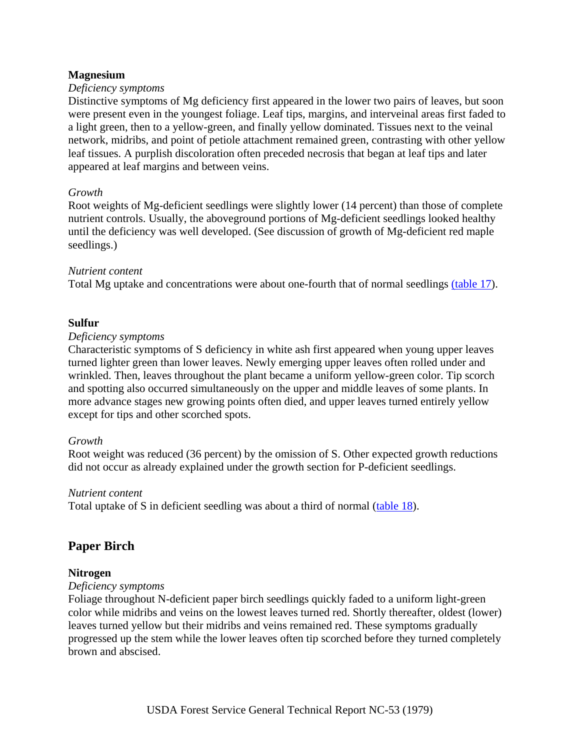### **Magnesium**

### *Deficiency symptoms*

Distinctive symptoms of Mg deficiency first appeared in the lower two pairs of leaves, but soon were present even in the youngest foliage. Leaf tips, margins, and interveinal areas first faded to a light green, then to a yellow-green, and finally yellow dominated. Tissues next to the veinal network, midribs, and point of petiole attachment remained green, contrasting with other yellow leaf tissues. A purplish discoloration often preceded necrosis that began at leaf tips and later appeared at leaf margins and between veins.

### *Growth*

Root weights of Mg-deficient seedlings were slightly lower (14 percent) than those of complete nutrient controls. Usually, the aboveground portions of Mg-deficient seedlings looked healthy until the deficiency was well developed. (See discussion of growth of Mg-deficient red maple seedlings.)

### *Nutrient content*

Total Mg uptake and concentrations were about one-fourth that of normal seedlings [\(table 17\)](http://www.sfws.auburn.edu/sfnmc/pubs/manuscri/nutrient/t17.jpg).

### **Sulfur**

#### *Deficiency symptoms*

Characteristic symptoms of S deficiency in white ash first appeared when young upper leaves turned lighter green than lower leaves. Newly emerging upper leaves often rolled under and wrinkled. Then, leaves throughout the plant became a uniform yellow-green color. Tip scorch and spotting also occurred simultaneously on the upper and middle leaves of some plants. In more advance stages new growing points often died, and upper leaves turned entirely yellow except for tips and other scorched spots.

### *Growth*

Root weight was reduced (36 percent) by the omission of S. Other expected growth reductions did not occur as already explained under the growth section for P-deficient seedlings.

#### *Nutrient content*

Total uptake of S in deficient seedling was about a third of normal ([table 18\)](http://www.sfws.auburn.edu/sfnmc/pubs/manuscri/nutrient/t18.jpg).

## **Paper Birch**

### **Nitrogen**

### *Deficiency symptoms*

Foliage throughout N-deficient paper birch seedlings quickly faded to a uniform light-green color while midribs and veins on the lowest leaves turned red. Shortly thereafter, oldest (lower) leaves turned yellow but their midribs and veins remained red. These symptoms gradually progressed up the stem while the lower leaves often tip scorched before they turned completely brown and abscised.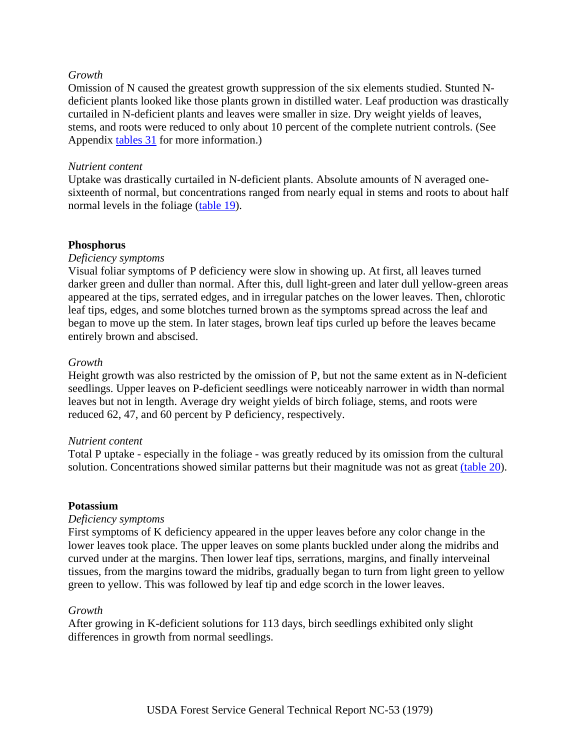### *Growth*

Omission of N caused the greatest growth suppression of the six elements studied. Stunted Ndeficient plants looked like those plants grown in distilled water. Leaf production was drastically curtailed in N-deficient plants and leaves were smaller in size. Dry weight yields of leaves, stems, and roots were reduced to only about 10 percent of the complete nutrient controls. (See Appendix [tables 31](http://www.sfws.auburn.edu/sfnmc/pubs/manuscri/nutrient/t31.jpg) for more information.)

### *Nutrient content*

Uptake was drastically curtailed in N-deficient plants. Absolute amounts of N averaged onesixteenth of normal, but concentrations ranged from nearly equal in stems and roots to about half normal levels in the foliage [\(table 19\)](http://www.sfws.auburn.edu/sfnmc/pubs/manuscri/nutrient/t19.jpg).

### **Phosphorus**

#### *Deficiency symptoms*

Visual foliar symptoms of P deficiency were slow in showing up. At first, all leaves turned darker green and duller than normal. After this, dull light-green and later dull yellow-green areas appeared at the tips, serrated edges, and in irregular patches on the lower leaves. Then, chlorotic leaf tips, edges, and some blotches turned brown as the symptoms spread across the leaf and began to move up the stem. In later stages, brown leaf tips curled up before the leaves became entirely brown and abscised.

### *Growth*

Height growth was also restricted by the omission of P, but not the same extent as in N-deficient seedlings. Upper leaves on P-deficient seedlings were noticeably narrower in width than normal leaves but not in length. Average dry weight yields of birch foliage, stems, and roots were reduced 62, 47, and 60 percent by P deficiency, respectively.

#### *Nutrient content*

Total P uptake - especially in the foliage - was greatly reduced by its omission from the cultural solution. Concentrations showed similar patterns but their magnitude was not as great [\(table 20\)](http://www.sfws.auburn.edu/sfnmc/pubs/manuscri/nutrient/t20.jpg).

#### **Potassium**

#### *Deficiency symptoms*

First symptoms of K deficiency appeared in the upper leaves before any color change in the lower leaves took place. The upper leaves on some plants buckled under along the midribs and curved under at the margins. Then lower leaf tips, serrations, margins, and finally interveinal tissues, from the margins toward the midribs, gradually began to turn from light green to yellow green to yellow. This was followed by leaf tip and edge scorch in the lower leaves.

#### *Growth*

After growing in K-deficient solutions for 113 days, birch seedlings exhibited only slight differences in growth from normal seedlings.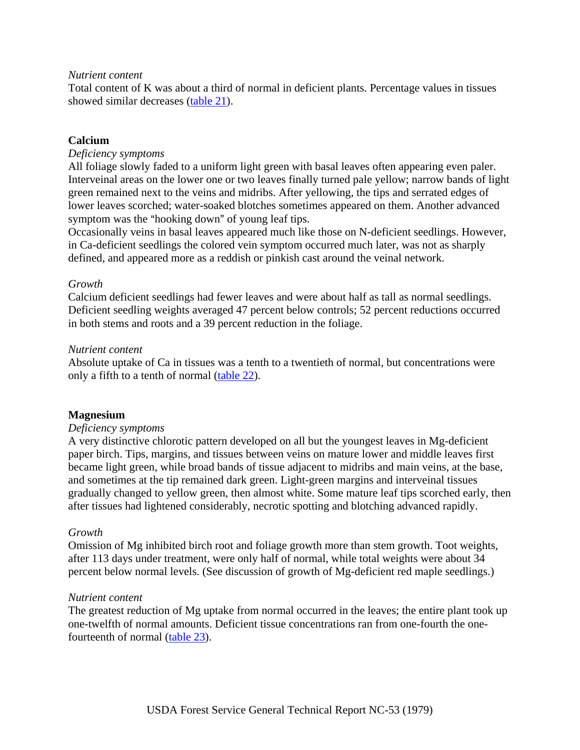### *Nutrient content*

Total content of K was about a third of normal in deficient plants. Percentage values in tissues showed similar decreases [\(table 21](http://www.sfws.auburn.edu/sfnmc/pubs/manuscri/nutrient/t21.jpg)).

### **Calcium**

### *Deficiency symptoms*

All foliage slowly faded to a uniform light green with basal leaves often appearing even paler. Interveinal areas on the lower one or two leaves finally turned pale yellow; narrow bands of light green remained next to the veins and midribs. After yellowing, the tips and serrated edges of lower leaves scorched; water-soaked blotches sometimes appeared on them. Another advanced symptom was the "hooking down" of young leaf tips.

Occasionally veins in basal leaves appeared much like those on N-deficient seedlings. However, in Ca-deficient seedlings the colored vein symptom occurred much later, was not as sharply defined, and appeared more as a reddish or pinkish cast around the veinal network.

### *Growth*

Calcium deficient seedlings had fewer leaves and were about half as tall as normal seedlings. Deficient seedling weights averaged 47 percent below controls; 52 percent reductions occurred in both stems and roots and a 39 percent reduction in the foliage.

### *Nutrient content*

Absolute uptake of Ca in tissues was a tenth to a twentieth of normal, but concentrations were only a fifth to a tenth of normal ([table 22](http://www.sfws.auburn.edu/sfnmc/pubs/manuscri/nutrient/t22.jpg)).

### **Magnesium**

### *Deficiency symptoms*

A very distinctive chlorotic pattern developed on all but the youngest leaves in Mg-deficient paper birch. Tips, margins, and tissues between veins on mature lower and middle leaves first became light green, while broad bands of tissue adjacent to midribs and main veins, at the base, and sometimes at the tip remained dark green. Light-green margins and interveinal tissues gradually changed to yellow green, then almost white. Some mature leaf tips scorched early, then after tissues had lightened considerably, necrotic spotting and blotching advanced rapidly.

### *Growth*

Omission of Mg inhibited birch root and foliage growth more than stem growth. Toot weights, after 113 days under treatment, were only half of normal, while total weights were about 34 percent below normal levels. (See discussion of growth of Mg-deficient red maple seedlings.)

#### *Nutrient content*

The greatest reduction of Mg uptake from normal occurred in the leaves; the entire plant took up one-twelfth of normal amounts. Deficient tissue concentrations ran from one-fourth the onefourteenth of normal [\(table 23\)](http://www.sfws.auburn.edu/sfnmc/pubs/manuscri/nutrient/t23.jpg).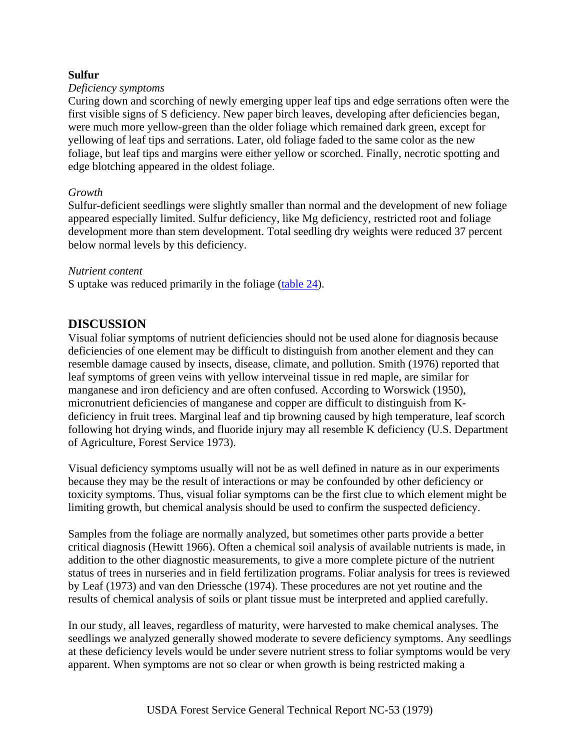### **Sulfur**

#### *Deficiency symptoms*

Curing down and scorching of newly emerging upper leaf tips and edge serrations often were the first visible signs of S deficiency. New paper birch leaves, developing after deficiencies began, were much more yellow-green than the older foliage which remained dark green, except for yellowing of leaf tips and serrations. Later, old foliage faded to the same color as the new foliage, but leaf tips and margins were either yellow or scorched. Finally, necrotic spotting and edge blotching appeared in the oldest foliage.

### *Growth*

Sulfur-deficient seedlings were slightly smaller than normal and the development of new foliage appeared especially limited. Sulfur deficiency, like Mg deficiency, restricted root and foliage development more than stem development. Total seedling dry weights were reduced 37 percent below normal levels by this deficiency.

### *Nutrient content*

S uptake was reduced primarily in the foliage [\(table 24\)](http://www.sfws.auburn.edu/sfnmc/pubs/manuscri/nutrient/t24.jpg).

## **DISCUSSION**

Visual foliar symptoms of nutrient deficiencies should not be used alone for diagnosis because deficiencies of one element may be difficult to distinguish from another element and they can resemble damage caused by insects, disease, climate, and pollution. Smith (1976) reported that leaf symptoms of green veins with yellow interveinal tissue in red maple, are similar for manganese and iron deficiency and are often confused. According to Worswick (1950), micronutrient deficiencies of manganese and copper are difficult to distinguish from Kdeficiency in fruit trees. Marginal leaf and tip browning caused by high temperature, leaf scorch following hot drying winds, and fluoride injury may all resemble K deficiency (U.S. Department of Agriculture, Forest Service 1973).

Visual deficiency symptoms usually will not be as well defined in nature as in our experiments because they may be the result of interactions or may be confounded by other deficiency or toxicity symptoms. Thus, visual foliar symptoms can be the first clue to which element might be limiting growth, but chemical analysis should be used to confirm the suspected deficiency.

Samples from the foliage are normally analyzed, but sometimes other parts provide a better critical diagnosis (Hewitt 1966). Often a chemical soil analysis of available nutrients is made, in addition to the other diagnostic measurements, to give a more complete picture of the nutrient status of trees in nurseries and in field fertilization programs. Foliar analysis for trees is reviewed by Leaf (1973) and van den Driessche (1974). These procedures are not yet routine and the results of chemical analysis of soils or plant tissue must be interpreted and applied carefully.

In our study, all leaves, regardless of maturity, were harvested to make chemical analyses. The seedlings we analyzed generally showed moderate to severe deficiency symptoms. Any seedlings at these deficiency levels would be under severe nutrient stress to foliar symptoms would be very apparent. When symptoms are not so clear or when growth is being restricted making a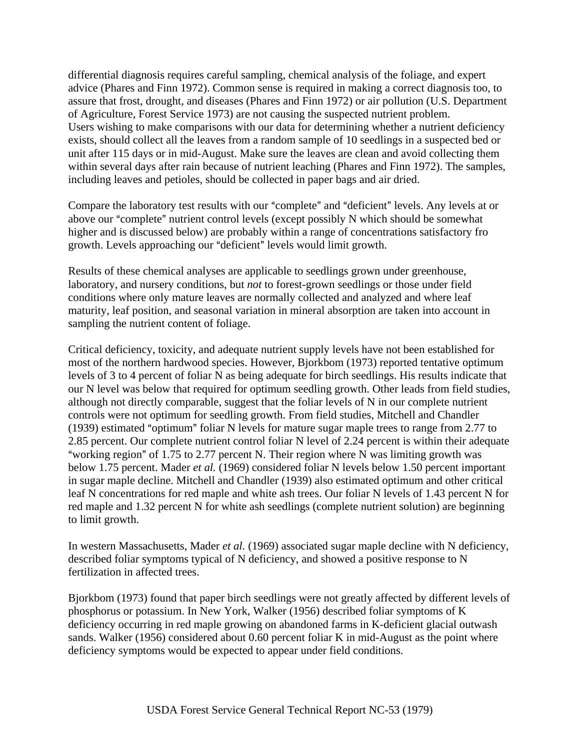differential diagnosis requires careful sampling, chemical analysis of the foliage, and expert advice (Phares and Finn 1972). Common sense is required in making a correct diagnosis too, to assure that frost, drought, and diseases (Phares and Finn 1972) or air pollution (U.S. Department of Agriculture, Forest Service 1973) are not causing the suspected nutrient problem. Users wishing to make comparisons with our data for determining whether a nutrient deficiency exists, should collect all the leaves from a random sample of 10 seedlings in a suspected bed or unit after 115 days or in mid-August. Make sure the leaves are clean and avoid collecting them within several days after rain because of nutrient leaching (Phares and Finn 1972). The samples, including leaves and petioles, should be collected in paper bags and air dried.

Compare the laboratory test results with our "complete" and "deficient" levels. Any levels at or above our "complete" nutrient control levels (except possibly N which should be somewhat higher and is discussed below) are probably within a range of concentrations satisfactory fro growth. Levels approaching our "deficient" levels would limit growth.

Results of these chemical analyses are applicable to seedlings grown under greenhouse, laboratory, and nursery conditions, but *not* to forest-grown seedlings or those under field conditions where only mature leaves are normally collected and analyzed and where leaf maturity, leaf position, and seasonal variation in mineral absorption are taken into account in sampling the nutrient content of foliage.

Critical deficiency, toxicity, and adequate nutrient supply levels have not been established for most of the northern hardwood species. However, Bjorkbom (1973) reported tentative optimum levels of 3 to 4 percent of foliar N as being adequate for birch seedlings. His results indicate that our N level was below that required for optimum seedling growth. Other leads from field studies, although not directly comparable, suggest that the foliar levels of N in our complete nutrient controls were not optimum for seedling growth. From field studies, Mitchell and Chandler (1939) estimated "optimum" foliar N levels for mature sugar maple trees to range from  $2.77$  to 2.85 percent. Our complete nutrient control foliar N level of 2.24 percent is within their adequate "working region" of 1.75 to 2.77 percent N. Their region where N was limiting growth was below 1.75 percent. Mader *et al.* (1969) considered foliar N levels below 1.50 percent important in sugar maple decline. Mitchell and Chandler (1939) also estimated optimum and other critical leaf N concentrations for red maple and white ash trees. Our foliar N levels of 1.43 percent N for red maple and 1.32 percent N for white ash seedlings (complete nutrient solution) are beginning to limit growth.

In western Massachusetts, Mader *et al.* (1969) associated sugar maple decline with N deficiency, described foliar symptoms typical of N deficiency, and showed a positive response to N fertilization in affected trees.

Bjorkbom (1973) found that paper birch seedlings were not greatly affected by different levels of phosphorus or potassium. In New York, Walker (1956) described foliar symptoms of K deficiency occurring in red maple growing on abandoned farms in K-deficient glacial outwash sands. Walker (1956) considered about 0.60 percent foliar K in mid-August as the point where deficiency symptoms would be expected to appear under field conditions.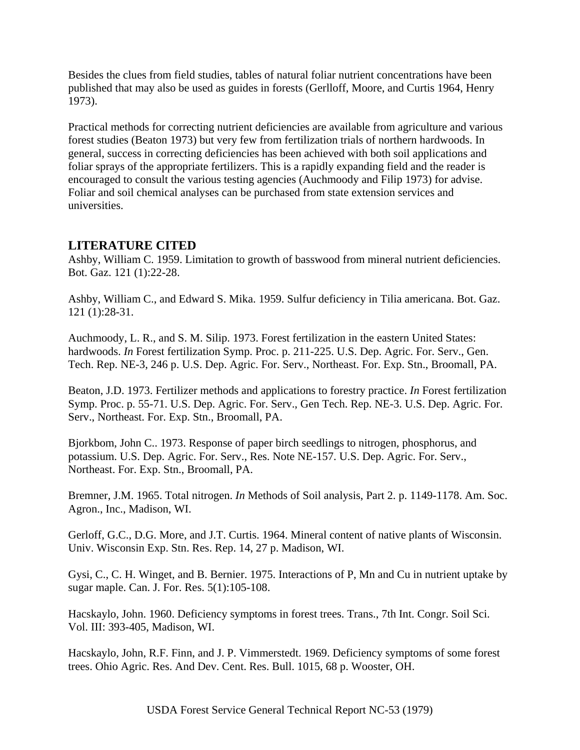Besides the clues from field studies, tables of natural foliar nutrient concentrations have been published that may also be used as guides in forests (Gerlloff, Moore, and Curtis 1964, Henry 1973).

Practical methods for correcting nutrient deficiencies are available from agriculture and various forest studies (Beaton 1973) but very few from fertilization trials of northern hardwoods. In general, success in correcting deficiencies has been achieved with both soil applications and foliar sprays of the appropriate fertilizers. This is a rapidly expanding field and the reader is encouraged to consult the various testing agencies (Auchmoody and Filip 1973) for advise. Foliar and soil chemical analyses can be purchased from state extension services and universities.

# **LITERATURE CITED**

Ashby, William C. 1959. Limitation to growth of basswood from mineral nutrient deficiencies. Bot. Gaz. 121 (1):22-28.

Ashby, William C., and Edward S. Mika. 1959. Sulfur deficiency in Tilia americana. Bot. Gaz. 121 (1):28-31.

Auchmoody, L. R., and S. M. Silip. 1973. Forest fertilization in the eastern United States: hardwoods. *In* Forest fertilization Symp. Proc. p. 211-225. U.S. Dep. Agric. For. Serv., Gen. Tech. Rep. NE-3, 246 p. U.S. Dep. Agric. For. Serv., Northeast. For. Exp. Stn., Broomall, PA.

Beaton, J.D. 1973. Fertilizer methods and applications to forestry practice. *In* Forest fertilization Symp. Proc. p. 55-71. U.S. Dep. Agric. For. Serv., Gen Tech. Rep. NE-3. U.S. Dep. Agric. For. Serv., Northeast. For. Exp. Stn., Broomall, PA.

Bjorkbom, John C.. 1973. Response of paper birch seedlings to nitrogen, phosphorus, and potassium. U.S. Dep. Agric. For. Serv., Res. Note NE-157. U.S. Dep. Agric. For. Serv., Northeast. For. Exp. Stn., Broomall, PA.

Bremner, J.M. 1965. Total nitrogen. *In* Methods of Soil analysis, Part 2. p. 1149-1178. Am. Soc. Agron., Inc., Madison, WI.

Gerloff, G.C., D.G. More, and J.T. Curtis. 1964. Mineral content of native plants of Wisconsin. Univ. Wisconsin Exp. Stn. Res. Rep. 14, 27 p. Madison, WI.

Gysi, C., C. H. Winget, and B. Bernier. 1975. Interactions of P, Mn and Cu in nutrient uptake by sugar maple. Can. J. For. Res. 5(1):105-108.

Hacskaylo, John. 1960. Deficiency symptoms in forest trees. Trans., 7th Int. Congr. Soil Sci. Vol. III: 393-405, Madison, WI.

Hacskaylo, John, R.F. Finn, and J. P. Vimmerstedt. 1969. Deficiency symptoms of some forest trees. Ohio Agric. Res. And Dev. Cent. Res. Bull. 1015, 68 p. Wooster, OH.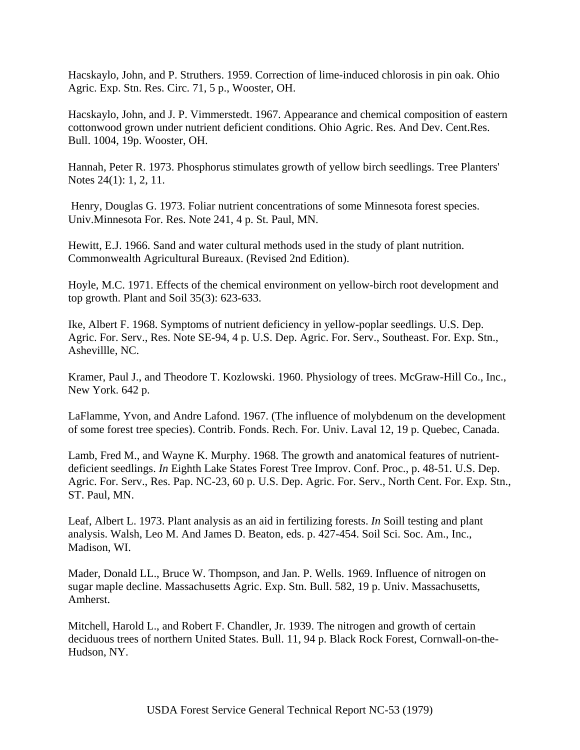Hacskaylo, John, and P. Struthers. 1959. Correction of lime-induced chlorosis in pin oak. Ohio Agric. Exp. Stn. Res. Circ. 71, 5 p., Wooster, OH.

Hacskaylo, John, and J. P. Vimmerstedt. 1967. Appearance and chemical composition of eastern cottonwood grown under nutrient deficient conditions. Ohio Agric. Res. And Dev. Cent.Res. Bull. 1004, 19p. Wooster, OH.

Hannah, Peter R. 1973. Phosphorus stimulates growth of yellow birch seedlings. Tree Planters' Notes 24(1): 1, 2, 11.

 Henry, Douglas G. 1973. Foliar nutrient concentrations of some Minnesota forest species. Univ.Minnesota For. Res. Note 241, 4 p. St. Paul, MN.

Hewitt, E.J. 1966. Sand and water cultural methods used in the study of plant nutrition. Commonwealth Agricultural Bureaux. (Revised 2nd Edition).

Hoyle, M.C. 1971. Effects of the chemical environment on yellow-birch root development and top growth. Plant and Soil 35(3): 623-633.

Ike, Albert F. 1968. Symptoms of nutrient deficiency in yellow-poplar seedlings. U.S. Dep. Agric. For. Serv., Res. Note SE-94, 4 p. U.S. Dep. Agric. For. Serv., Southeast. For. Exp. Stn., Ashevillle, NC.

Kramer, Paul J., and Theodore T. Kozlowski. 1960. Physiology of trees. McGraw-Hill Co., Inc., New York. 642 p.

LaFlamme, Yvon, and Andre Lafond. 1967. (The influence of molybdenum on the development of some forest tree species). Contrib. Fonds. Rech. For. Univ. Laval 12, 19 p. Quebec, Canada.

Lamb, Fred M., and Wayne K. Murphy. 1968. The growth and anatomical features of nutrientdeficient seedlings. *In* Eighth Lake States Forest Tree Improv. Conf. Proc., p. 48-51. U.S. Dep. Agric. For. Serv., Res. Pap. NC-23, 60 p. U.S. Dep. Agric. For. Serv., North Cent. For. Exp. Stn., ST. Paul, MN.

Leaf, Albert L. 1973. Plant analysis as an aid in fertilizing forests. *In* Soill testing and plant analysis. Walsh, Leo M. And James D. Beaton, eds. p. 427-454. Soil Sci. Soc. Am., Inc., Madison, WI.

Mader, Donald LL., Bruce W. Thompson, and Jan. P. Wells. 1969. Influence of nitrogen on sugar maple decline. Massachusetts Agric. Exp. Stn. Bull. 582, 19 p. Univ. Massachusetts, Amherst.

Mitchell, Harold L., and Robert F. Chandler, Jr. 1939. The nitrogen and growth of certain deciduous trees of northern United States. Bull. 11, 94 p. Black Rock Forest, Cornwall-on-the-Hudson, NY.